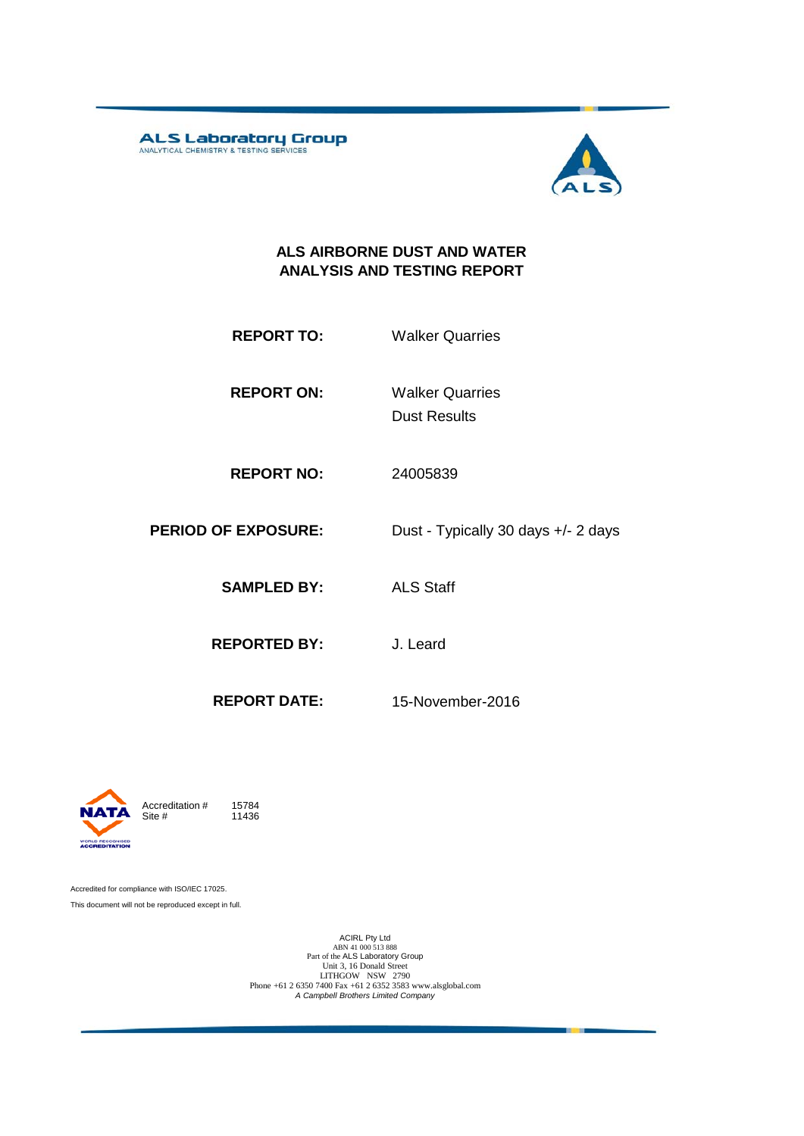ALS Laboratory Group



#### **ALS AIRBORNE DUST AND WATER ANALYSIS AND TESTING REPORT**

- **REPORT TO:** Walker Quarries
- **REPORT ON:** Dust Results Walker Quarries
- **REPORT NO:** 24005839
- **PERIOD OF EXPOSURE:** Dust Typically 30 days +/- 2 days
	- **SAMPLED BY:** ALS Staff
	- **REPORTED BY:** J. Leard
		-
	- **REPORT DATE:** 15-November-2016



11436

Accredited for compliance with ISO/IEC 17025. This document will not be reproduced except in full.

ACIRL Pty Ltd<br>
ABN 41 000 513 888<br>
Part of the ALS Laboratory Group<br>
Unit 3, 16 Donald Street<br>
LITHGOW NSW 2790<br>
Phone +61 2 6350 7400 Fax +61 2 6352 3583 www.alsglobal.com<br> *A Campbell Brothers Limited Company*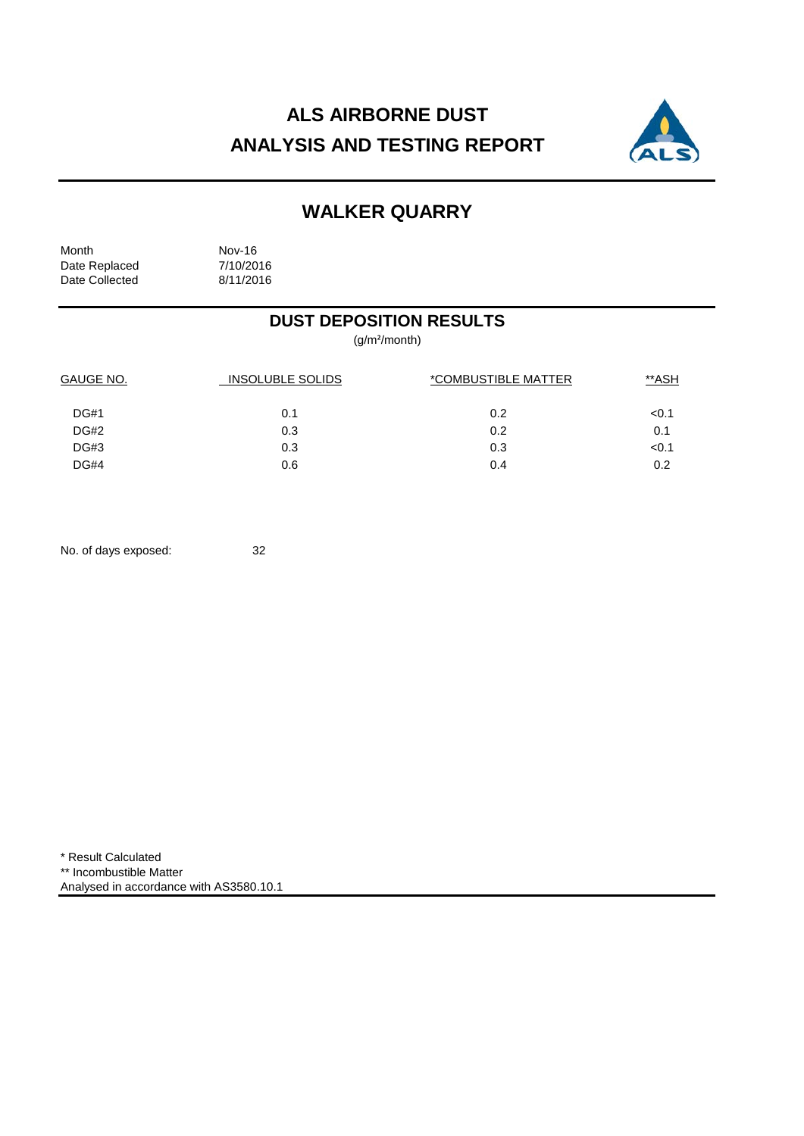# **ALS AIRBORNE DUST ANALYSIS AND TESTING REPORT**



# **WALKER QUARRY**

Month Nov-16<br>Date Replaced 7/10/2016 Date Replaced 7/10/2016<br>Date Collected 8/11/2016 Date Collected

### **DUST DEPOSITION RESULTS**

(g/m²/month)

| GAUGE NO.   | <b>INSOLUBLE SOLIDS</b> | *COMBUSTIBLE MATTER | **ASH |  |
|-------------|-------------------------|---------------------|-------|--|
| <b>DG#1</b> | 0.1                     | 0.2                 | < 0.1 |  |
| DG#2        | 0.3                     | 0.2                 | 0.1   |  |
| <b>DG#3</b> | 0.3                     | 0.3                 | < 0.1 |  |
| <b>DG#4</b> | 0.6                     | 0.4                 | 0.2   |  |

No. of days exposed: 32

\* Result Calculated \*\* Incombustible Matter Analysed in accordance with AS3580.10.1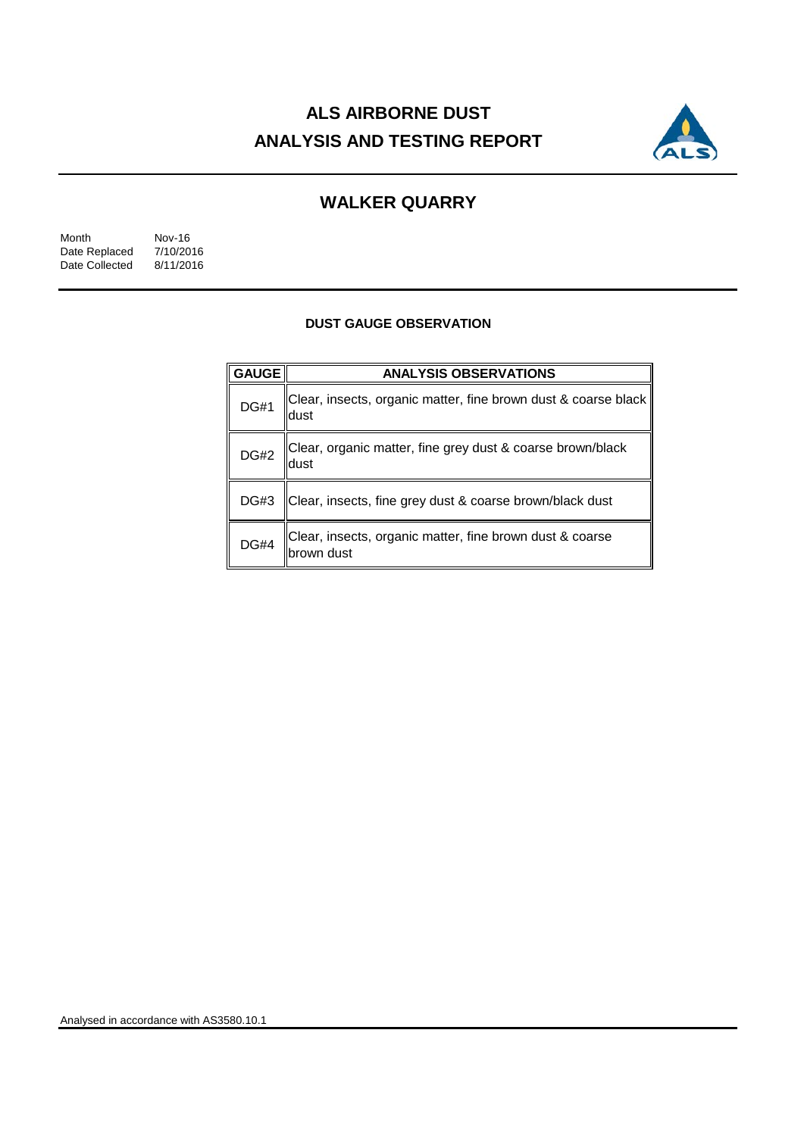# **ALS AIRBORNE DUST ANALYSIS AND TESTING REPORT**



## **WALKER QUARRY**

| Month          | Nov-16    |
|----------------|-----------|
| Date Replaced  | 7/10/2016 |
| Date Collected | 8/11/2016 |

#### **DUST GAUGE OBSERVATION**

| <b>GAUGE</b> | <b>ANALYSIS OBSERVATIONS</b>                                           |  |  |
|--------------|------------------------------------------------------------------------|--|--|
| <b>DG#1</b>  | Clear, insects, organic matter, fine brown dust & coarse black<br>dust |  |  |
| <b>DG#2</b>  | Clear, organic matter, fine grey dust & coarse brown/black<br>dust     |  |  |
| <b>DG#3</b>  | Clear, insects, fine grey dust & coarse brown/black dust               |  |  |
| <b>DG#4</b>  | Clear, insects, organic matter, fine brown dust & coarse<br>brown dust |  |  |